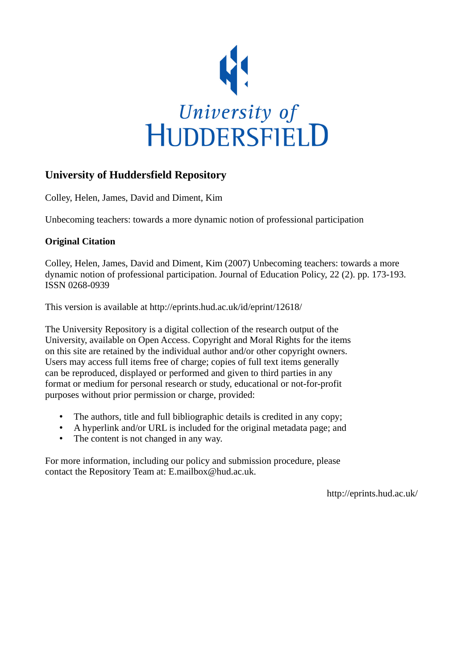

## **University of Huddersfield Repository**

Colley, Helen, James, David and Diment, Kim

Unbecoming teachers: towards a more dynamic notion of professional participation

### **Original Citation**

Colley, Helen, James, David and Diment, Kim (2007) Unbecoming teachers: towards a more dynamic notion of professional participation. Journal of Education Policy, 22 (2). pp. 173-193. ISSN 0268-0939

This version is available at http://eprints.hud.ac.uk/id/eprint/12618/

The University Repository is a digital collection of the research output of the University, available on Open Access. Copyright and Moral Rights for the items on this site are retained by the individual author and/or other copyright owners. Users may access full items free of charge; copies of full text items generally can be reproduced, displayed or performed and given to third parties in any format or medium for personal research or study, educational or not-for-profit purposes without prior permission or charge, provided:

- The authors, title and full bibliographic details is credited in any copy;
- A hyperlink and/or URL is included for the original metadata page; and
- The content is not changed in any way.

For more information, including our policy and submission procedure, please contact the Repository Team at: E.mailbox@hud.ac.uk.

http://eprints.hud.ac.uk/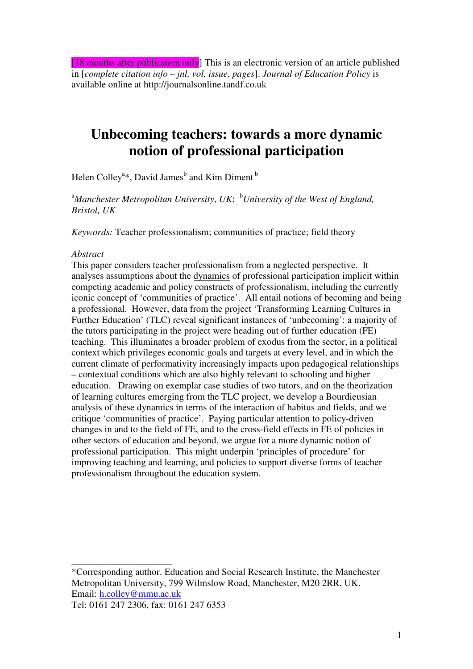[18 months after publication only] This is an electronic version of an article published in [*complete citation info – jnl, vol, issue, pages*]. *Journal of Education Policy* is available online at http://journalsonline.tandf.co.uk

# **Unbecoming teachers: towards a more dynamic notion of professional participation**

Helen Colley<sup>a\*</sup>, David James<sup>b</sup> and Kim Diment<sup>b</sup>

<sup>a</sup>*Manchester Metropolitan University*, *UK*; <sup>b</sup>*University of the West of England, Bristol, UK*

*Keywords:* Teacher professionalism; communities of practice; field theory

#### *Abstract*

This paper considers teacher professionalism from a neglected perspective. It analyses assumptions about the dynamics of professional participation implicit within competing academic and policy constructs of professionalism, including the currently iconic concept of 'communities of practice'. All entail notions of becoming and being a professional. However, data from the project 'Transforming Learning Cultures in Further Education' (TLC) reveal significant instances of 'unbecoming': a majority of the tutors participating in the project were heading out of further education (FE) teaching. This illuminates a broader problem of exodus from the sector, in a political context which privileges economic goals and targets at every level, and in which the current climate of performativity increasingly impacts upon pedagogical relationships – contextual conditions which are also highly relevant to schooling and higher education. Drawing on exemplar case studies of two tutors, and on the theorization of learning cultures emerging from the TLC project, we develop a Bourdieusian analysis of these dynamics in terms of the interaction of habitus and fields, and we critique 'communities of practice'. Paying particular attention to policy-driven changes in and to the field of FE, and to the cross-field effects in FE of policies in other sectors of education and beyond, we argue for a more dynamic notion of professional participation. This might underpin 'principles of procedure' for improving teaching and learning, and policies to support diverse forms of teacher professionalism throughout the education system.

\*Corresponding author. Education and Social Research Institute, the Manchester Metropolitan University, 799 Wilmslow Road, Manchester, M20 2RR, UK. Email: h.colley@mmu.ac.uk

Tel: 0161 247 2306, fax: 0161 247 6353

\_\_\_\_\_\_\_\_\_\_\_\_\_\_\_\_\_\_\_\_\_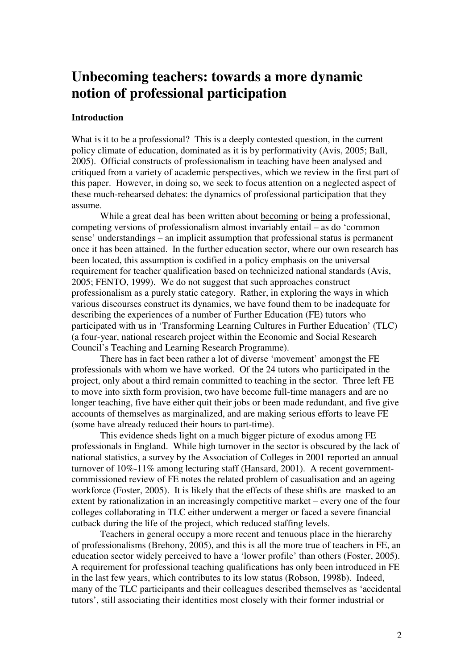# **Unbecoming teachers: towards a more dynamic notion of professional participation**

#### **Introduction**

What is it to be a professional? This is a deeply contested question, in the current policy climate of education, dominated as it is by performativity (Avis, 2005; Ball, 2005). Official constructs of professionalism in teaching have been analysed and critiqued from a variety of academic perspectives, which we review in the first part of this paper. However, in doing so, we seek to focus attention on a neglected aspect of these much-rehearsed debates: the dynamics of professional participation that they assume.

While a great deal has been written about becoming or being a professional, competing versions of professionalism almost invariably entail – as do 'common sense' understandings – an implicit assumption that professional status is permanent once it has been attained. In the further education sector, where our own research has been located, this assumption is codified in a policy emphasis on the universal requirement for teacher qualification based on technicized national standards (Avis, 2005; FENTO, 1999). We do not suggest that such approaches construct professionalism as a purely static category. Rather, in exploring the ways in which various discourses construct its dynamics, we have found them to be inadequate for describing the experiences of a number of Further Education (FE) tutors who participated with us in 'Transforming Learning Cultures in Further Education' (TLC) (a four-year, national research project within the Economic and Social Research Council's Teaching and Learning Research Programme).

There has in fact been rather a lot of diverse 'movement' amongst the FE professionals with whom we have worked. Of the 24 tutors who participated in the project, only about a third remain committed to teaching in the sector. Three left FE to move into sixth form provision, two have become full-time managers and are no longer teaching, five have either quit their jobs or been made redundant, and five give accounts of themselves as marginalized, and are making serious efforts to leave FE (some have already reduced their hours to part-time).

This evidence sheds light on a much bigger picture of exodus among FE professionals in England. While high turnover in the sector is obscured by the lack of national statistics, a survey by the Association of Colleges in 2001 reported an annual turnover of 10%-11% among lecturing staff (Hansard, 2001). A recent governmentcommissioned review of FE notes the related problem of casualisation and an ageing workforce (Foster, 2005). It is likely that the effects of these shifts are masked to an extent by rationalization in an increasingly competitive market – every one of the four colleges collaborating in TLC either underwent a merger or faced a severe financial cutback during the life of the project, which reduced staffing levels.

 Teachers in general occupy a more recent and tenuous place in the hierarchy of professionalisms (Brehony, 2005), and this is all the more true of teachers in FE, an education sector widely perceived to have a 'lower profile' than others (Foster, 2005). A requirement for professional teaching qualifications has only been introduced in FE in the last few years, which contributes to its low status (Robson, 1998b). Indeed, many of the TLC participants and their colleagues described themselves as 'accidental tutors', still associating their identities most closely with their former industrial or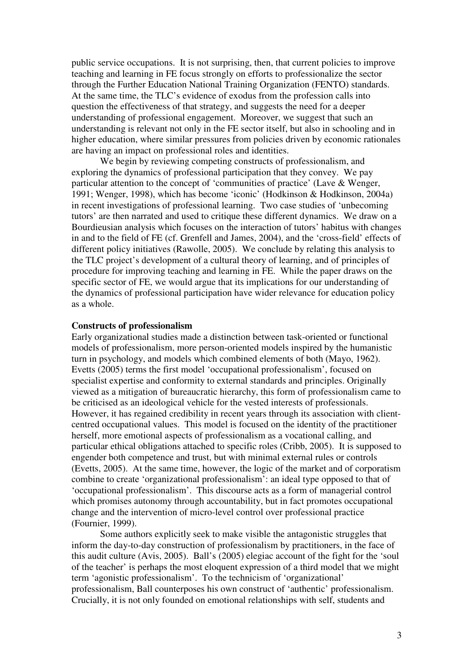public service occupations. It is not surprising, then, that current policies to improve teaching and learning in FE focus strongly on efforts to professionalize the sector through the Further Education National Training Organization (FENTO) standards. At the same time, the TLC's evidence of exodus from the profession calls into question the effectiveness of that strategy, and suggests the need for a deeper understanding of professional engagement. Moreover, we suggest that such an understanding is relevant not only in the FE sector itself, but also in schooling and in higher education, where similar pressures from policies driven by economic rationales are having an impact on professional roles and identities.

We begin by reviewing competing constructs of professionalism, and exploring the dynamics of professional participation that they convey. We pay particular attention to the concept of 'communities of practice' (Lave & Wenger, 1991; Wenger, 1998), which has become 'iconic' (Hodkinson & Hodkinson, 2004a) in recent investigations of professional learning. Two case studies of 'unbecoming tutors' are then narrated and used to critique these different dynamics. We draw on a Bourdieusian analysis which focuses on the interaction of tutors' habitus with changes in and to the field of FE (cf. Grenfell and James, 2004), and the 'cross-field' effects of different policy initiatives (Rawolle, 2005). We conclude by relating this analysis to the TLC project's development of a cultural theory of learning, and of principles of procedure for improving teaching and learning in FE. While the paper draws on the specific sector of FE, we would argue that its implications for our understanding of the dynamics of professional participation have wider relevance for education policy as a whole.

#### **Constructs of professionalism**

Early organizational studies made a distinction between task-oriented or functional models of professionalism, more person-oriented models inspired by the humanistic turn in psychology, and models which combined elements of both (Mayo, 1962). Evetts (2005) terms the first model 'occupational professionalism', focused on specialist expertise and conformity to external standards and principles. Originally viewed as a mitigation of bureaucratic hierarchy, this form of professionalism came to be criticised as an ideological vehicle for the vested interests of professionals. However, it has regained credibility in recent years through its association with clientcentred occupational values. This model is focused on the identity of the practitioner herself, more emotional aspects of professionalism as a vocational calling, and particular ethical obligations attached to specific roles (Cribb, 2005). It is supposed to engender both competence and trust, but with minimal external rules or controls (Evetts, 2005). At the same time, however, the logic of the market and of corporatism combine to create 'organizational professionalism': an ideal type opposed to that of 'occupational professionalism'. This discourse acts as a form of managerial control which promises autonomy through accountability, but in fact promotes occupational change and the intervention of micro-level control over professional practice (Fournier, 1999).

 Some authors explicitly seek to make visible the antagonistic struggles that inform the day-to-day construction of professionalism by practitioners, in the face of this audit culture (Avis, 2005). Ball's (2005) elegiac account of the fight for the 'soul of the teacher' is perhaps the most eloquent expression of a third model that we might term 'agonistic professionalism'. To the technicism of 'organizational' professionalism, Ball counterposes his own construct of 'authentic' professionalism. Crucially, it is not only founded on emotional relationships with self, students and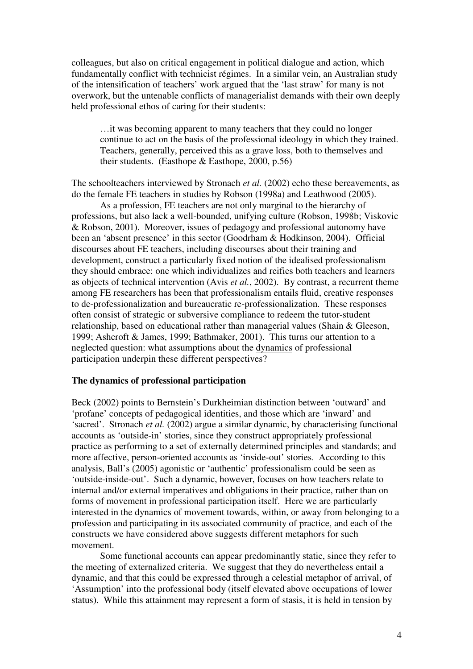colleagues, but also on critical engagement in political dialogue and action, which fundamentally conflict with technicist régimes. In a similar vein, an Australian study of the intensification of teachers' work argued that the 'last straw' for many is not overwork, but the untenable conflicts of managerialist demands with their own deeply held professional ethos of caring for their students:

…it was becoming apparent to many teachers that they could no longer continue to act on the basis of the professional ideology in which they trained. Teachers, generally, perceived this as a grave loss, both to themselves and their students. (Easthope & Easthope, 2000, p.56)

The schoolteachers interviewed by Stronach *et al.* (2002) echo these bereavements, as do the female FE teachers in studies by Robson (1998a) and Leathwood (2005).

As a profession, FE teachers are not only marginal to the hierarchy of professions, but also lack a well-bounded, unifying culture (Robson, 1998b; Viskovic & Robson, 2001). Moreover, issues of pedagogy and professional autonomy have been an 'absent presence' in this sector (Goodrham & Hodkinson, 2004). Official discourses about FE teachers, including discourses about their training and development, construct a particularly fixed notion of the idealised professionalism they should embrace: one which individualizes and reifies both teachers and learners as objects of technical intervention (Avis *et al.*, 2002). By contrast, a recurrent theme among FE researchers has been that professionalism entails fluid, creative responses to de-professionalization and bureaucratic re-professionalization. These responses often consist of strategic or subversive compliance to redeem the tutor-student relationship, based on educational rather than managerial values (Shain & Gleeson, 1999; Ashcroft & James, 1999; Bathmaker, 2001). This turns our attention to a neglected question: what assumptions about the dynamics of professional participation underpin these different perspectives?

#### **The dynamics of professional participation**

Beck (2002) points to Bernstein's Durkheimian distinction between 'outward' and 'profane' concepts of pedagogical identities, and those which are 'inward' and 'sacred'. Stronach *et al.* (2002) argue a similar dynamic, by characterising functional accounts as 'outside-in' stories, since they construct appropriately professional practice as performing to a set of externally determined principles and standards; and more affective, person-oriented accounts as 'inside-out' stories. According to this analysis, Ball's (2005) agonistic or 'authentic' professionalism could be seen as 'outside-inside-out'. Such a dynamic, however, focuses on how teachers relate to internal and/or external imperatives and obligations in their practice, rather than on forms of movement in professional participation itself. Here we are particularly interested in the dynamics of movement towards, within, or away from belonging to a profession and participating in its associated community of practice, and each of the constructs we have considered above suggests different metaphors for such movement.

Some functional accounts can appear predominantly static, since they refer to the meeting of externalized criteria. We suggest that they do nevertheless entail a dynamic, and that this could be expressed through a celestial metaphor of arrival, of 'Assumption' into the professional body (itself elevated above occupations of lower status). While this attainment may represent a form of stasis, it is held in tension by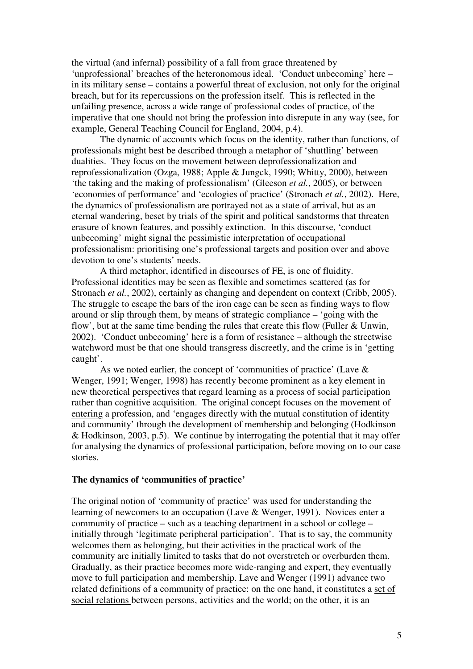the virtual (and infernal) possibility of a fall from grace threatened by 'unprofessional' breaches of the heteronomous ideal. 'Conduct unbecoming' here – in its military sense – contains a powerful threat of exclusion, not only for the original breach, but for its repercussions on the profession itself. This is reflected in the unfailing presence, across a wide range of professional codes of practice, of the imperative that one should not bring the profession into disrepute in any way (see, for example, General Teaching Council for England, 2004, p.4).

The dynamic of accounts which focus on the identity, rather than functions, of professionals might best be described through a metaphor of 'shuttling' between dualities. They focus on the movement between deprofessionalization and reprofessionalization (Ozga, 1988; Apple & Jungck, 1990; Whitty, 2000), between 'the taking and the making of professionalism' (Gleeson *et al.*, 2005), or between 'economies of performance' and 'ecologies of practice' (Stronach *et al.*, 2002). Here, the dynamics of professionalism are portrayed not as a state of arrival, but as an eternal wandering, beset by trials of the spirit and political sandstorms that threaten erasure of known features, and possibly extinction. In this discourse, 'conduct unbecoming' might signal the pessimistic interpretation of occupational professionalism: prioritising one's professional targets and position over and above devotion to one's students' needs.

A third metaphor, identified in discourses of FE, is one of fluidity. Professional identities may be seen as flexible and sometimes scattered (as for Stronach *et al.*, 2002), certainly as changing and dependent on context (Cribb, 2005). The struggle to escape the bars of the iron cage can be seen as finding ways to flow around or slip through them, by means of strategic compliance – 'going with the flow', but at the same time bending the rules that create this flow (Fuller & Unwin, 2002). 'Conduct unbecoming' here is a form of resistance – although the streetwise watchword must be that one should transgress discreetly, and the crime is in 'getting caught'.

As we noted earlier, the concept of 'communities of practice' (Lave & Wenger, 1991; Wenger, 1998) has recently become prominent as a key element in new theoretical perspectives that regard learning as a process of social participation rather than cognitive acquisition. The original concept focuses on the movement of entering a profession, and 'engages directly with the mutual constitution of identity and community' through the development of membership and belonging (Hodkinson & Hodkinson, 2003, p.5). We continue by interrogating the potential that it may offer for analysing the dynamics of professional participation, before moving on to our case stories.

#### **The dynamics of 'communities of practice'**

The original notion of 'community of practice' was used for understanding the learning of newcomers to an occupation (Lave & Wenger, 1991). Novices enter a community of practice – such as a teaching department in a school or college – initially through 'legitimate peripheral participation'. That is to say, the community welcomes them as belonging, but their activities in the practical work of the community are initially limited to tasks that do not overstretch or overburden them. Gradually, as their practice becomes more wide-ranging and expert, they eventually move to full participation and membership. Lave and Wenger (1991) advance two related definitions of a community of practice: on the one hand, it constitutes a set of social relations between persons, activities and the world; on the other, it is an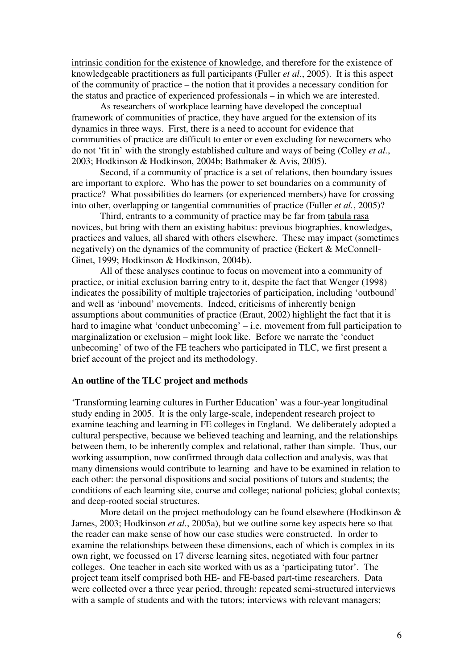intrinsic condition for the existence of knowledge, and therefore for the existence of knowledgeable practitioners as full participants (Fuller *et al.*, 2005). It is this aspect of the community of practice – the notion that it provides a necessary condition for the status and practice of experienced professionals – in which we are interested.

 As researchers of workplace learning have developed the conceptual framework of communities of practice, they have argued for the extension of its dynamics in three ways. First, there is a need to account for evidence that communities of practice are difficult to enter or even excluding for newcomers who do not 'fit in' with the strongly established culture and ways of being (Colley *et al.*, 2003; Hodkinson & Hodkinson, 2004b; Bathmaker & Avis, 2005).

Second, if a community of practice is a set of relations, then boundary issues are important to explore. Who has the power to set boundaries on a community of practice? What possibilities do learners (or experienced members) have for crossing into other, overlapping or tangential communities of practice (Fuller *et al.*, 2005)?

Third, entrants to a community of practice may be far from tabula rasa novices, but bring with them an existing habitus: previous biographies, knowledges, practices and values, all shared with others elsewhere. These may impact (sometimes negatively) on the dynamics of the community of practice (Eckert & McConnell-Ginet, 1999; Hodkinson & Hodkinson, 2004b).

All of these analyses continue to focus on movement into a community of practice, or initial exclusion barring entry to it, despite the fact that Wenger (1998) indicates the possibility of multiple trajectories of participation, including 'outbound' and well as 'inbound' movements. Indeed, criticisms of inherently benign assumptions about communities of practice (Eraut, 2002) highlight the fact that it is hard to imagine what 'conduct unbecoming' – i.e. movement from full participation to marginalization or exclusion – might look like. Before we narrate the 'conduct unbecoming' of two of the FE teachers who participated in TLC, we first present a brief account of the project and its methodology.

#### **An outline of the TLC project and methods**

'Transforming learning cultures in Further Education' was a four-year longitudinal study ending in 2005. It is the only large-scale, independent research project to examine teaching and learning in FE colleges in England. We deliberately adopted a cultural perspective, because we believed teaching and learning, and the relationships between them, to be inherently complex and relational, rather than simple. Thus, our working assumption, now confirmed through data collection and analysis, was that many dimensions would contribute to learning and have to be examined in relation to each other: the personal dispositions and social positions of tutors and students; the conditions of each learning site, course and college; national policies; global contexts; and deep-rooted social structures.

More detail on the project methodology can be found elsewhere (Hodkinson  $\&$ James, 2003; Hodkinson *et al.*, 2005a), but we outline some key aspects here so that the reader can make sense of how our case studies were constructed. In order to examine the relationships between these dimensions, each of which is complex in its own right, we focussed on 17 diverse learning sites, negotiated with four partner colleges. One teacher in each site worked with us as a 'participating tutor'. The project team itself comprised both HE- and FE-based part-time researchers. Data were collected over a three year period, through: repeated semi-structured interviews with a sample of students and with the tutors; interviews with relevant managers;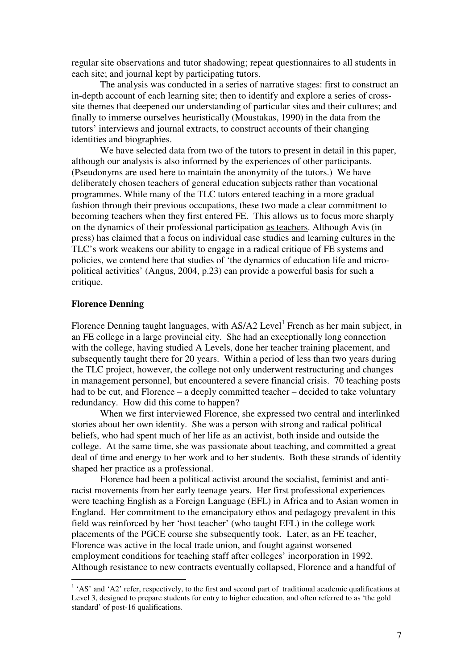regular site observations and tutor shadowing; repeat questionnaires to all students in each site; and journal kept by participating tutors.

The analysis was conducted in a series of narrative stages: first to construct an in-depth account of each learning site; then to identify and explore a series of crosssite themes that deepened our understanding of particular sites and their cultures; and finally to immerse ourselves heuristically (Moustakas, 1990) in the data from the tutors' interviews and journal extracts, to construct accounts of their changing identities and biographies.

We have selected data from two of the tutors to present in detail in this paper, although our analysis is also informed by the experiences of other participants. (Pseudonyms are used here to maintain the anonymity of the tutors.) We have deliberately chosen teachers of general education subjects rather than vocational programmes. While many of the TLC tutors entered teaching in a more gradual fashion through their previous occupations, these two made a clear commitment to becoming teachers when they first entered FE. This allows us to focus more sharply on the dynamics of their professional participation as teachers. Although Avis (in press) has claimed that a focus on individual case studies and learning cultures in the TLC's work weakens our ability to engage in a radical critique of FE systems and policies, we contend here that studies of 'the dynamics of education life and micropolitical activities' (Angus, 2004, p.23) can provide a powerful basis for such a critique.

#### **Florence Denning**

Florence Denning taught languages, with  $AS/A2$  Level<sup>1</sup> French as her main subject, in an FE college in a large provincial city. She had an exceptionally long connection with the college, having studied A Levels, done her teacher training placement, and subsequently taught there for 20 years. Within a period of less than two years during the TLC project, however, the college not only underwent restructuring and changes in management personnel, but encountered a severe financial crisis. 70 teaching posts had to be cut, and Florence – a deeply committed teacher – decided to take voluntary redundancy. How did this come to happen?

 When we first interviewed Florence, she expressed two central and interlinked stories about her own identity. She was a person with strong and radical political beliefs, who had spent much of her life as an activist, both inside and outside the college. At the same time, she was passionate about teaching, and committed a great deal of time and energy to her work and to her students. Both these strands of identity shaped her practice as a professional.

 Florence had been a political activist around the socialist, feminist and antiracist movements from her early teenage years. Her first professional experiences were teaching English as a Foreign Language (EFL) in Africa and to Asian women in England. Her commitment to the emancipatory ethos and pedagogy prevalent in this field was reinforced by her 'host teacher' (who taught EFL) in the college work placements of the PGCE course she subsequently took. Later, as an FE teacher, Florence was active in the local trade union, and fought against worsened employment conditions for teaching staff after colleges' incorporation in 1992. Although resistance to new contracts eventually collapsed, Florence and a handful of

<sup>&</sup>lt;sup>1</sup> 'AS' and 'A2' refer, respectively, to the first and second part of traditional academic qualifications at Level 3, designed to prepare students for entry to higher education, and often referred to as 'the gold standard' of post-16 qualifications.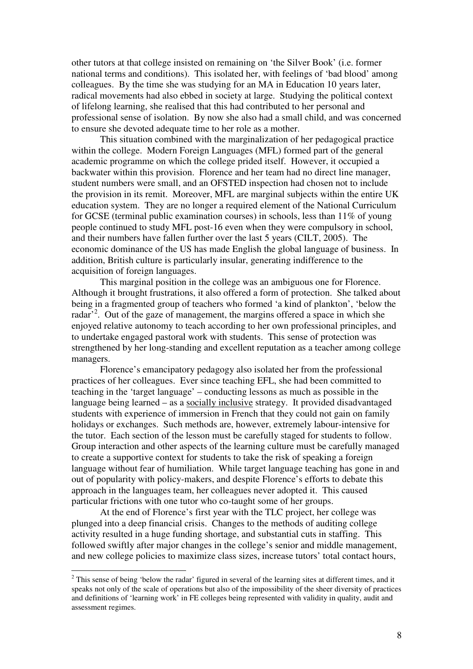other tutors at that college insisted on remaining on 'the Silver Book' (i.e. former national terms and conditions). This isolated her, with feelings of 'bad blood' among colleagues. By the time she was studying for an MA in Education 10 years later, radical movements had also ebbed in society at large. Studying the political context of lifelong learning, she realised that this had contributed to her personal and professional sense of isolation. By now she also had a small child, and was concerned to ensure she devoted adequate time to her role as a mother.

 This situation combined with the marginalization of her pedagogical practice within the college. Modern Foreign Languages (MFL) formed part of the general academic programme on which the college prided itself. However, it occupied a backwater within this provision. Florence and her team had no direct line manager, student numbers were small, and an OFSTED inspection had chosen not to include the provision in its remit. Moreover, MFL are marginal subjects within the entire UK education system. They are no longer a required element of the National Curriculum for GCSE (terminal public examination courses) in schools, less than 11% of young people continued to study MFL post-16 even when they were compulsory in school, and their numbers have fallen further over the last 5 years (CILT, 2005). The economic dominance of the US has made English the global language of business. In addition, British culture is particularly insular, generating indifference to the acquisition of foreign languages.

 This marginal position in the college was an ambiguous one for Florence. Although it brought frustrations, it also offered a form of protection. She talked about being in a fragmented group of teachers who formed 'a kind of plankton', 'below the radar<sup>, 2</sup>. Out of the gaze of management, the margins offered a space in which she enjoyed relative autonomy to teach according to her own professional principles, and to undertake engaged pastoral work with students. This sense of protection was strengthened by her long-standing and excellent reputation as a teacher among college managers.

Florence's emancipatory pedagogy also isolated her from the professional practices of her colleagues. Ever since teaching EFL, she had been committed to teaching in the 'target language' – conducting lessons as much as possible in the language being learned – as a socially inclusive strategy. It provided disadvantaged students with experience of immersion in French that they could not gain on family holidays or exchanges. Such methods are, however, extremely labour-intensive for the tutor. Each section of the lesson must be carefully staged for students to follow. Group interaction and other aspects of the learning culture must be carefully managed to create a supportive context for students to take the risk of speaking a foreign language without fear of humiliation. While target language teaching has gone in and out of popularity with policy-makers, and despite Florence's efforts to debate this approach in the languages team, her colleagues never adopted it. This caused particular frictions with one tutor who co-taught some of her groups.

At the end of Florence's first year with the TLC project, her college was plunged into a deep financial crisis. Changes to the methods of auditing college activity resulted in a huge funding shortage, and substantial cuts in staffing. This followed swiftly after major changes in the college's senior and middle management, and new college policies to maximize class sizes, increase tutors' total contact hours,

<sup>&</sup>lt;sup>2</sup> This sense of being 'below the radar' figured in several of the learning sites at different times, and it speaks not only of the scale of operations but also of the impossibility of the sheer diversity of practices and definitions of 'learning work' in FE colleges being represented with validity in quality, audit and assessment regimes.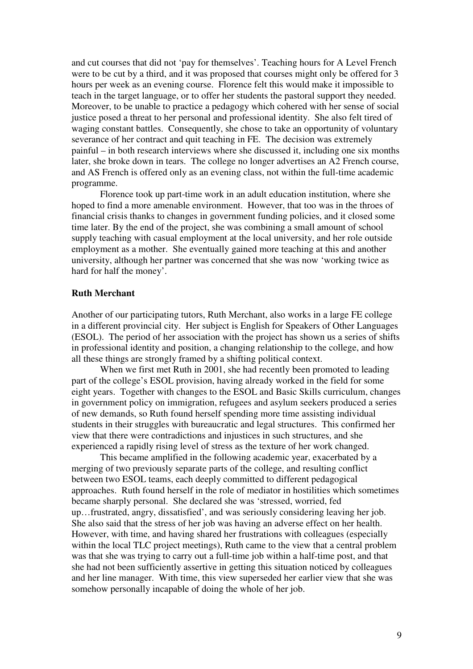and cut courses that did not 'pay for themselves'. Teaching hours for A Level French were to be cut by a third, and it was proposed that courses might only be offered for 3 hours per week as an evening course. Florence felt this would make it impossible to teach in the target language, or to offer her students the pastoral support they needed. Moreover, to be unable to practice a pedagogy which cohered with her sense of social justice posed a threat to her personal and professional identity. She also felt tired of waging constant battles. Consequently, she chose to take an opportunity of voluntary severance of her contract and quit teaching in FE. The decision was extremely painful – in both research interviews where she discussed it, including one six months later, she broke down in tears. The college no longer advertises an A2 French course, and AS French is offered only as an evening class, not within the full-time academic programme.

Florence took up part-time work in an adult education institution, where she hoped to find a more amenable environment. However, that too was in the throes of financial crisis thanks to changes in government funding policies, and it closed some time later. By the end of the project, she was combining a small amount of school supply teaching with casual employment at the local university, and her role outside employment as a mother. She eventually gained more teaching at this and another university, although her partner was concerned that she was now 'working twice as hard for half the money'.

#### **Ruth Merchant**

Another of our participating tutors, Ruth Merchant, also works in a large FE college in a different provincial city. Her subject is English for Speakers of Other Languages (ESOL). The period of her association with the project has shown us a series of shifts in professional identity and position, a changing relationship to the college, and how all these things are strongly framed by a shifting political context.

When we first met Ruth in 2001, she had recently been promoted to leading part of the college's ESOL provision, having already worked in the field for some eight years. Together with changes to the ESOL and Basic Skills curriculum, changes in government policy on immigration, refugees and asylum seekers produced a series of new demands, so Ruth found herself spending more time assisting individual students in their struggles with bureaucratic and legal structures. This confirmed her view that there were contradictions and injustices in such structures, and she experienced a rapidly rising level of stress as the texture of her work changed.

This became amplified in the following academic year, exacerbated by a merging of two previously separate parts of the college, and resulting conflict between two ESOL teams, each deeply committed to different pedagogical approaches. Ruth found herself in the role of mediator in hostilities which sometimes became sharply personal. She declared she was 'stressed, worried, fed up…frustrated, angry, dissatisfied', and was seriously considering leaving her job. She also said that the stress of her job was having an adverse effect on her health. However, with time, and having shared her frustrations with colleagues (especially within the local TLC project meetings), Ruth came to the view that a central problem was that she was trying to carry out a full-time job within a half-time post, and that she had not been sufficiently assertive in getting this situation noticed by colleagues and her line manager. With time, this view superseded her earlier view that she was somehow personally incapable of doing the whole of her job.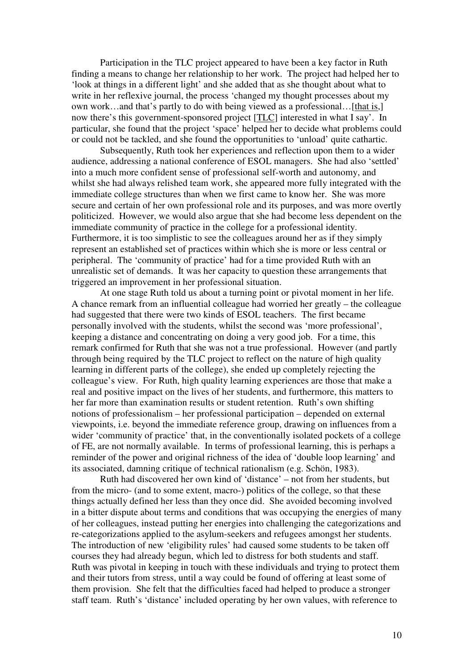Participation in the TLC project appeared to have been a key factor in Ruth finding a means to change her relationship to her work. The project had helped her to 'look at things in a different light' and she added that as she thought about what to write in her reflexive journal, the process 'changed my thought processes about my own work…and that's partly to do with being viewed as a professional…[that is,] now there's this government-sponsored project [TLC] interested in what I say'. In particular, she found that the project 'space' helped her to decide what problems could or could not be tackled, and she found the opportunities to 'unload' quite cathartic.

Subsequently, Ruth took her experiences and reflection upon them to a wider audience, addressing a national conference of ESOL managers. She had also 'settled' into a much more confident sense of professional self-worth and autonomy, and whilst she had always relished team work, she appeared more fully integrated with the immediate college structures than when we first came to know her. She was more secure and certain of her own professional role and its purposes, and was more overtly politicized. However, we would also argue that she had become less dependent on the immediate community of practice in the college for a professional identity. Furthermore, it is too simplistic to see the colleagues around her as if they simply represent an established set of practices within which she is more or less central or peripheral. The 'community of practice' had for a time provided Ruth with an unrealistic set of demands. It was her capacity to question these arrangements that triggered an improvement in her professional situation.

At one stage Ruth told us about a turning point or pivotal moment in her life. A chance remark from an influential colleague had worried her greatly – the colleague had suggested that there were two kinds of ESOL teachers. The first became personally involved with the students, whilst the second was 'more professional', keeping a distance and concentrating on doing a very good job. For a time, this remark confirmed for Ruth that she was not a true professional. However (and partly through being required by the TLC project to reflect on the nature of high quality learning in different parts of the college), she ended up completely rejecting the colleague's view. For Ruth, high quality learning experiences are those that make a real and positive impact on the lives of her students, and furthermore, this matters to her far more than examination results or student retention. Ruth's own shifting notions of professionalism – her professional participation – depended on external viewpoints, i.e. beyond the immediate reference group, drawing on influences from a wider 'community of practice' that, in the conventionally isolated pockets of a college of FE, are not normally available. In terms of professional learning, this is perhaps a reminder of the power and original richness of the idea of 'double loop learning' and its associated, damning critique of technical rationalism (e.g. Schön, 1983).

Ruth had discovered her own kind of 'distance' – not from her students, but from the micro- (and to some extent, macro-) politics of the college, so that these things actually defined her less than they once did. She avoided becoming involved in a bitter dispute about terms and conditions that was occupying the energies of many of her colleagues, instead putting her energies into challenging the categorizations and re-categorizations applied to the asylum-seekers and refugees amongst her students. The introduction of new 'eligibility rules' had caused some students to be taken off courses they had already begun, which led to distress for both students and staff. Ruth was pivotal in keeping in touch with these individuals and trying to protect them and their tutors from stress, until a way could be found of offering at least some of them provision. She felt that the difficulties faced had helped to produce a stronger staff team. Ruth's 'distance' included operating by her own values, with reference to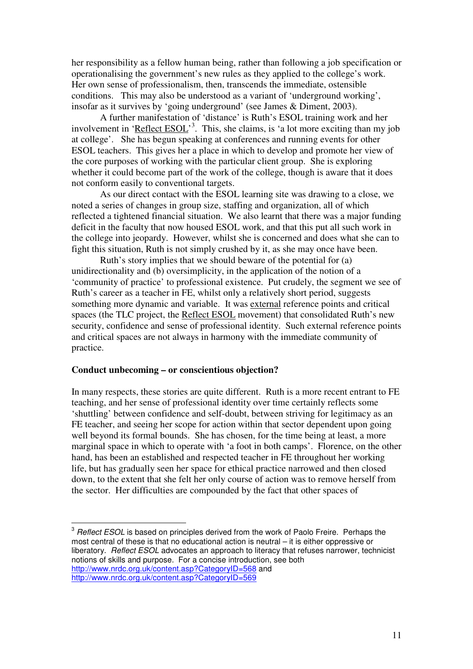her responsibility as a fellow human being, rather than following a job specification or operationalising the government's new rules as they applied to the college's work. Her own sense of professionalism, then, transcends the immediate, ostensible conditions. This may also be understood as a variant of 'underground working', insofar as it survives by 'going underground' (see James & Diment, 2003).

A further manifestation of 'distance' is Ruth's ESOL training work and her involvement in ' $\text{Reflect } \text{ESOL}'^3$ . This, she claims, is 'a lot more exciting than my job at college'. She has begun speaking at conferences and running events for other ESOL teachers. This gives her a place in which to develop and promote her view of the core purposes of working with the particular client group. She is exploring whether it could become part of the work of the college, though is aware that it does not conform easily to conventional targets.

As our direct contact with the ESOL learning site was drawing to a close, we noted a series of changes in group size, staffing and organization, all of which reflected a tightened financial situation. We also learnt that there was a major funding deficit in the faculty that now housed ESOL work, and that this put all such work in the college into jeopardy. However, whilst she is concerned and does what she can to fight this situation, Ruth is not simply crushed by it, as she may once have been.

Ruth's story implies that we should beware of the potential for (a) unidirectionality and (b) oversimplicity, in the application of the notion of a 'community of practice' to professional existence. Put crudely, the segment we see of Ruth's career as a teacher in FE, whilst only a relatively short period, suggests something more dynamic and variable. It was external reference points and critical spaces (the TLC project, the Reflect ESOL movement) that consolidated Ruth's new security, confidence and sense of professional identity. Such external reference points and critical spaces are not always in harmony with the immediate community of practice.

#### **Conduct unbecoming – or conscientious objection?**

 $\overline{a}$ 

In many respects, these stories are quite different. Ruth is a more recent entrant to FE teaching, and her sense of professional identity over time certainly reflects some 'shuttling' between confidence and self-doubt, between striving for legitimacy as an FE teacher, and seeing her scope for action within that sector dependent upon going well beyond its formal bounds. She has chosen, for the time being at least, a more marginal space in which to operate with 'a foot in both camps'. Florence, on the other hand, has been an established and respected teacher in FE throughout her working life, but has gradually seen her space for ethical practice narrowed and then closed down, to the extent that she felt her only course of action was to remove herself from the sector. Her difficulties are compounded by the fact that other spaces of

 $3$  Reflect ESOL is based on principles derived from the work of Paolo Freire. Perhaps the most central of these is that no educational action is neutral – it is either oppressive or liberatory. Reflect ESOL advocates an approach to literacy that refuses narrower, technicist notions of skills and purpose. For a concise introduction, see both http://www.nrdc.org.uk/content.asp?CategoryID=568 and http://www.nrdc.org.uk/content.asp?CategoryID=569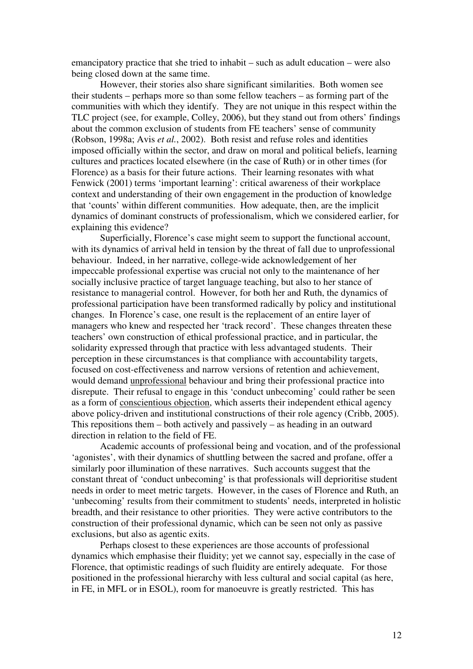emancipatory practice that she tried to inhabit – such as adult education – were also being closed down at the same time.

 However, their stories also share significant similarities. Both women see their students – perhaps more so than some fellow teachers – as forming part of the communities with which they identify. They are not unique in this respect within the TLC project (see, for example, Colley, 2006), but they stand out from others' findings about the common exclusion of students from FE teachers' sense of community (Robson, 1998a; Avis *et al.*, 2002). Both resist and refuse roles and identities imposed officially within the sector, and draw on moral and political beliefs, learning cultures and practices located elsewhere (in the case of Ruth) or in other times (for Florence) as a basis for their future actions. Their learning resonates with what Fenwick (2001) terms 'important learning': critical awareness of their workplace context and understanding of their own engagement in the production of knowledge that 'counts' within different communities. How adequate, then, are the implicit dynamics of dominant constructs of professionalism, which we considered earlier, for explaining this evidence?

 Superficially, Florence's case might seem to support the functional account, with its dynamics of arrival held in tension by the threat of fall due to unprofessional behaviour. Indeed, in her narrative, college-wide acknowledgement of her impeccable professional expertise was crucial not only to the maintenance of her socially inclusive practice of target language teaching, but also to her stance of resistance to managerial control. However, for both her and Ruth, the dynamics of professional participation have been transformed radically by policy and institutional changes. In Florence's case, one result is the replacement of an entire layer of managers who knew and respected her 'track record'. These changes threaten these teachers' own construction of ethical professional practice, and in particular, the solidarity expressed through that practice with less advantaged students. Their perception in these circumstances is that compliance with accountability targets, focused on cost-effectiveness and narrow versions of retention and achievement, would demand unprofessional behaviour and bring their professional practice into disrepute. Their refusal to engage in this 'conduct unbecoming' could rather be seen as a form of conscientious objection, which asserts their independent ethical agency above policy-driven and institutional constructions of their role agency (Cribb, 2005). This repositions them  $-$  both actively and passively  $-$  as heading in an outward direction in relation to the field of FE.

 Academic accounts of professional being and vocation, and of the professional 'agonistes', with their dynamics of shuttling between the sacred and profane, offer a similarly poor illumination of these narratives. Such accounts suggest that the constant threat of 'conduct unbecoming' is that professionals will deprioritise student needs in order to meet metric targets. However, in the cases of Florence and Ruth, an 'unbecoming' results from their commitment to students' needs, interpreted in holistic breadth, and their resistance to other priorities. They were active contributors to the construction of their professional dynamic, which can be seen not only as passive exclusions, but also as agentic exits.

Perhaps closest to these experiences are those accounts of professional dynamics which emphasise their fluidity; yet we cannot say, especially in the case of Florence, that optimistic readings of such fluidity are entirely adequate. For those positioned in the professional hierarchy with less cultural and social capital (as here, in FE, in MFL or in ESOL), room for manoeuvre is greatly restricted. This has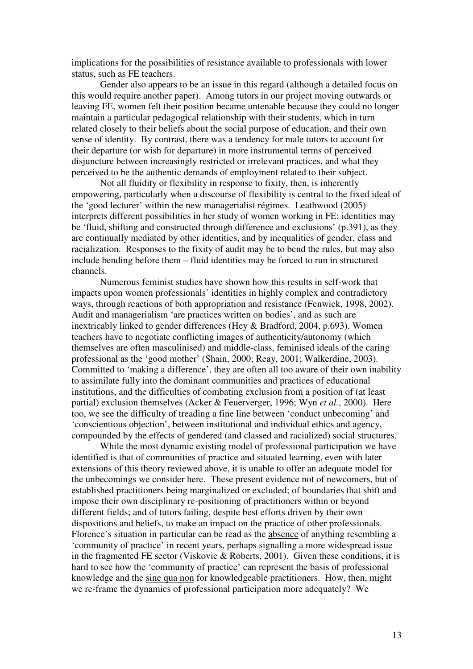implications for the possibilities of resistance available to professionals with lower status, such as FE teachers.

Gender also appears to be an issue in this regard (although a detailed focus on this would require another paper). Among tutors in our project moving outwards or leaving FE, women felt their position became untenable because they could no longer maintain a particular pedagogical relationship with their students, which in turn related closely to their beliefs about the social purpose of education, and their own sense of identity. By contrast, there was a tendency for male tutors to account for their departure (or wish for departure) in more instrumental terms of perceived disjuncture between increasingly restricted or irrelevant practices, and what they perceived to be the authentic demands of employment related to their subject.

Not all fluidity or flexibility in response to fixity, then, is inherently empowering, particularly when a discourse of flexibility is central to the fixed ideal of the 'good lecturer' within the new managerialist régimes. Leathwood (2005) interprets different possibilities in her study of women working in FE: identities may be 'fluid, shifting and constructed through difference and exclusions' (p.391), as they are continually mediated by other identities, and by inequalities of gender, class and racialization. Responses to the fixity of audit may be to bend the rules, but may also include bending before them – fluid identities may be forced to run in structured channels.

Numerous feminist studies have shown how this results in self-work that impacts upon women professionals' identities in highly complex and contradictory ways, through reactions of both appropriation and resistance (Fenwick, 1998, 2002). Audit and managerialism 'are practices written on bodies', and as such are inextricably linked to gender differences (Hey & Bradford, 2004, p.693). Women teachers have to negotiate conflicting images of authenticity/autonomy (which themselves are often masculinised) and middle-class, feminised ideals of the caring professional as the 'good mother' (Shain, 2000; Reay, 2001; Walkerdine, 2003). Committed to 'making a difference', they are often all too aware of their own inability to assimilate fully into the dominant communities and practices of educational institutions, and the difficulties of combating exclusion from a position of (at least partial) exclusion themselves (Acker & Feuerverger, 1996; Wyn *et al.*, 2000). Here too, we see the difficulty of treading a fine line between 'conduct unbecoming' and 'conscientious objection', between institutional and individual ethics and agency, compounded by the effects of gendered (and classed and racialized) social structures.

While the most dynamic existing model of professional participation we have identified is that of communities of practice and situated learning, even with later extensions of this theory reviewed above, it is unable to offer an adequate model for the unbecomings we consider here. These present evidence not of newcomers, but of established practitioners being marginalized or excluded; of boundaries that shift and impose their own disciplinary re-positioning of practitioners within or beyond different fields; and of tutors failing, despite best efforts driven by their own dispositions and beliefs, to make an impact on the practice of other professionals. Florence's situation in particular can be read as the absence of anything resembling a 'community of practice' in recent years, perhaps signalling a more widespread issue in the fragmented FE sector (Viskovic & Roberts, 2001). Given these conditions, it is hard to see how the 'community of practice' can represent the basis of professional knowledge and the sine qua non for knowledgeable practitioners. How, then, might we re-frame the dynamics of professional participation more adequately? We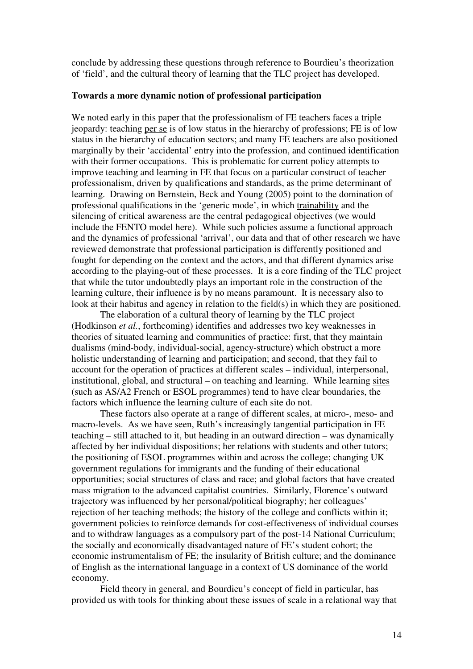conclude by addressing these questions through reference to Bourdieu's theorization of 'field', and the cultural theory of learning that the TLC project has developed.

#### **Towards a more dynamic notion of professional participation**

We noted early in this paper that the professionalism of FE teachers faces a triple jeopardy: teaching per se is of low status in the hierarchy of professions; FE is of low status in the hierarchy of education sectors; and many FE teachers are also positioned marginally by their 'accidental' entry into the profession, and continued identification with their former occupations. This is problematic for current policy attempts to improve teaching and learning in FE that focus on a particular construct of teacher professionalism, driven by qualifications and standards, as the prime determinant of learning. Drawing on Bernstein, Beck and Young (2005) point to the domination of professional qualifications in the 'generic mode', in which trainability and the silencing of critical awareness are the central pedagogical objectives (we would include the FENTO model here). While such policies assume a functional approach and the dynamics of professional 'arrival', our data and that of other research we have reviewed demonstrate that professional participation is differently positioned and fought for depending on the context and the actors, and that different dynamics arise according to the playing-out of these processes. It is a core finding of the TLC project that while the tutor undoubtedly plays an important role in the construction of the learning culture, their influence is by no means paramount. It is necessary also to look at their habitus and agency in relation to the field(s) in which they are positioned.

The elaboration of a cultural theory of learning by the TLC project (Hodkinson *et al.*, forthcoming) identifies and addresses two key weaknesses in theories of situated learning and communities of practice: first, that they maintain dualisms (mind-body, individual-social, agency-structure) which obstruct a more holistic understanding of learning and participation; and second, that they fail to account for the operation of practices at different scales – individual, interpersonal, institutional, global, and structural – on teaching and learning. While learning sites (such as AS/A2 French or ESOL programmes) tend to have clear boundaries, the factors which influence the learning culture of each site do not.

These factors also operate at a range of different scales, at micro-, meso- and macro-levels. As we have seen, Ruth's increasingly tangential participation in FE teaching – still attached to it, but heading in an outward direction – was dynamically affected by her individual dispositions; her relations with students and other tutors; the positioning of ESOL programmes within and across the college; changing UK government regulations for immigrants and the funding of their educational opportunities; social structures of class and race; and global factors that have created mass migration to the advanced capitalist countries. Similarly, Florence's outward trajectory was influenced by her personal/political biography; her colleagues' rejection of her teaching methods; the history of the college and conflicts within it; government policies to reinforce demands for cost-effectiveness of individual courses and to withdraw languages as a compulsory part of the post-14 National Curriculum; the socially and economically disadvantaged nature of FE's student cohort; the economic instrumentalism of FE; the insularity of British culture; and the dominance of English as the international language in a context of US dominance of the world economy.

Field theory in general, and Bourdieu's concept of field in particular, has provided us with tools for thinking about these issues of scale in a relational way that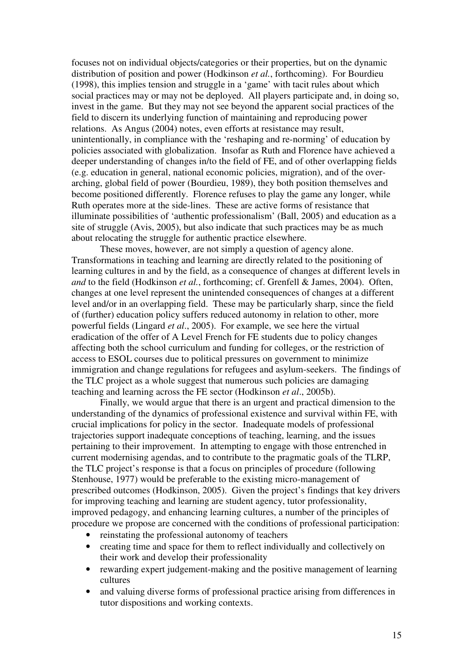focuses not on individual objects/categories or their properties, but on the dynamic distribution of position and power (Hodkinson *et al.*, forthcoming). For Bourdieu (1998), this implies tension and struggle in a 'game' with tacit rules about which social practices may or may not be deployed. All players participate and, in doing so, invest in the game. But they may not see beyond the apparent social practices of the field to discern its underlying function of maintaining and reproducing power relations. As Angus (2004) notes, even efforts at resistance may result, unintentionally, in compliance with the 'reshaping and re-norming' of education by policies associated with globalization. Insofar as Ruth and Florence have achieved a deeper understanding of changes in/to the field of FE, and of other overlapping fields (e.g. education in general, national economic policies, migration), and of the overarching, global field of power (Bourdieu, 1989), they both position themselves and become positioned differently. Florence refuses to play the game any longer, while Ruth operates more at the side-lines. These are active forms of resistance that illuminate possibilities of 'authentic professionalism' (Ball, 2005) and education as a site of struggle (Avis, 2005), but also indicate that such practices may be as much about relocating the struggle for authentic practice elsewhere.

These moves, however, are not simply a question of agency alone. Transformations in teaching and learning are directly related to the positioning of learning cultures in and by the field, as a consequence of changes at different levels in *and* to the field (Hodkinson *et al.*, forthcoming; cf. Grenfell & James, 2004). Often, changes at one level represent the unintended consequences of changes at a different level and/or in an overlapping field. These may be particularly sharp, since the field of (further) education policy suffers reduced autonomy in relation to other, more powerful fields (Lingard *et al*., 2005). For example, we see here the virtual eradication of the offer of A Level French for FE students due to policy changes affecting both the school curriculum and funding for colleges, or the restriction of access to ESOL courses due to political pressures on government to minimize immigration and change regulations for refugees and asylum-seekers. The findings of the TLC project as a whole suggest that numerous such policies are damaging teaching and learning across the FE sector (Hodkinson *et al*., 2005b).

Finally, we would argue that there is an urgent and practical dimension to the understanding of the dynamics of professional existence and survival within FE, with crucial implications for policy in the sector. Inadequate models of professional trajectories support inadequate conceptions of teaching, learning, and the issues pertaining to their improvement. In attempting to engage with those entrenched in current modernising agendas, and to contribute to the pragmatic goals of the TLRP, the TLC project's response is that a focus on principles of procedure (following Stenhouse, 1977) would be preferable to the existing micro-management of prescribed outcomes (Hodkinson, 2005). Given the project's findings that key drivers for improving teaching and learning are student agency, tutor professionality, improved pedagogy, and enhancing learning cultures, a number of the principles of procedure we propose are concerned with the conditions of professional participation:

- reinstating the professional autonomy of teachers
- creating time and space for them to reflect individually and collectively on their work and develop their professionality
- rewarding expert judgement-making and the positive management of learning cultures
- and valuing diverse forms of professional practice arising from differences in tutor dispositions and working contexts.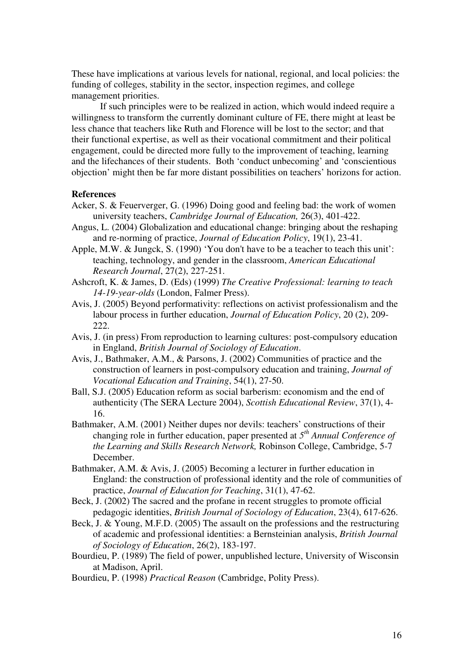These have implications at various levels for national, regional, and local policies: the funding of colleges, stability in the sector, inspection regimes, and college management priorities.

If such principles were to be realized in action, which would indeed require a willingness to transform the currently dominant culture of FE, there might at least be less chance that teachers like Ruth and Florence will be lost to the sector; and that their functional expertise, as well as their vocational commitment and their political engagement, could be directed more fully to the improvement of teaching, learning and the lifechances of their students. Both 'conduct unbecoming' and 'conscientious objection' might then be far more distant possibilities on teachers' horizons for action.

#### **References**

- Acker, S. & Feuerverger, G. (1996) Doing good and feeling bad: the work of women university teachers, *Cambridge Journal of Education,* 26(3), 401-422.
- Angus, L. (2004) Globalization and educational change: bringing about the reshaping and re-norming of practice, *Journal of Education Policy*, 19(1), 23-41.
- Apple, M.W. & Jungck, S. (1990) 'You don't have to be a teacher to teach this unit': teaching, technology, and gender in the classroom, *American Educational Research Journal*, 27(2), 227-251.
- Ashcroft, K. & James, D. (Eds) (1999) *The Creative Professional: learning to teach 14-19-year-olds* (London, Falmer Press).
- Avis, J. (2005) Beyond performativity: reflections on activist professionalism and the labour process in further education, *Journal of Education Policy*, 20 (2), 209- 222.
- Avis, J. (in press) From reproduction to learning cultures: post-compulsory education in England, *British Journal of Sociology of Education*.
- Avis, J., Bathmaker, A.M., & Parsons, J. (2002) Communities of practice and the construction of learners in post-compulsory education and training, *Journal of Vocational Education and Training*, 54(1), 27-50.
- Ball, S.J. (2005) Education reform as social barberism: economism and the end of authenticity (The SERA Lecture 2004), *Scottish Educational Review*, 37(1), 4- 16.
- Bathmaker, A.M. (2001) Neither dupes nor devils: teachers' constructions of their changing role in further education, paper presented at *5 th Annual Conference of the Learning and Skills Research Network,* Robinson College, Cambridge, 5-7 December.
- Bathmaker, A.M. & Avis, J. (2005) Becoming a lecturer in further education in England: the construction of professional identity and the role of communities of practice, *Journal of Education for Teaching*, 31(1), 47-62.
- Beck, J. (2002) The sacred and the profane in recent struggles to promote official pedagogic identities, *British Journal of Sociology of Education*, 23(4), 617-626.
- Beck, J. & Young, M.F.D. (2005) The assault on the professions and the restructuring of academic and professional identities: a Bernsteinian analysis, *British Journal of Sociology of Education*, 26(2), 183-197.
- Bourdieu, P. (1989) The field of power, unpublished lecture, University of Wisconsin at Madison, April.
- Bourdieu, P. (1998) *Practical Reason* (Cambridge, Polity Press).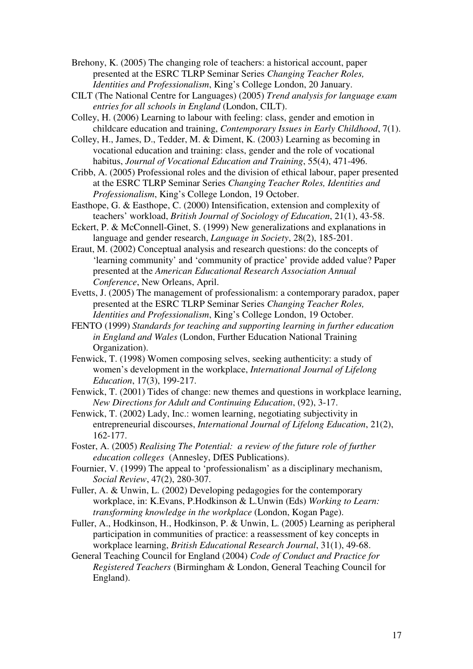Brehony, K. (2005) The changing role of teachers: a historical account, paper presented at the ESRC TLRP Seminar Series *Changing Teacher Roles, Identities and Professionalism*, King's College London, 20 January.

CILT (The National Centre for Languages) (2005) *Trend analysis for language exam entries for all schools in England* (London, CILT).

Colley, H. (2006) Learning to labour with feeling: class, gender and emotion in childcare education and training, *Contemporary Issues in Early Childhood*, 7(1).

Colley, H., James, D., Tedder, M. & Diment, K. (2003) Learning as becoming in vocational education and training: class, gender and the role of vocational habitus, *Journal of Vocational Education and Training*, 55(4), 471-496.

Cribb, A. (2005) Professional roles and the division of ethical labour, paper presented at the ESRC TLRP Seminar Series *Changing Teacher Roles, Identities and Professionalism*, King's College London, 19 October.

Easthope, G. & Easthope, C. (2000) Intensification, extension and complexity of teachers' workload, *British Journal of Sociology of Education*, 21(1), 43-58.

Eckert, P. & McConnell-Ginet, S. (1999) New generalizations and explanations in language and gender research, *Language in Society*, 28(2), 185-201.

Eraut, M. (2002) Conceptual analysis and research questions: do the concepts of 'learning community' and 'community of practice' provide added value? Paper presented at the *American Educational Research Association Annual Conference*, New Orleans, April.

Evetts, J. (2005) The management of professionalism: a contemporary paradox, paper presented at the ESRC TLRP Seminar Series *Changing Teacher Roles, Identities and Professionalism*, King's College London, 19 October.

FENTO (1999) *Standards for teaching and supporting learning in further education in England and Wales* (London, Further Education National Training Organization).

Fenwick, T. (1998) Women composing selves, seeking authenticity: a study of women's development in the workplace, *International Journal of Lifelong Education*, 17(3), 199-217.

Fenwick, T. (2001) Tides of change: new themes and questions in workplace learning, *New Directions for Adult and Continuing Education*, (92), 3-17.

Fenwick, T. (2002) Lady, Inc.: women learning, negotiating subjectivity in entrepreneurial discourses, *International Journal of Lifelong Education*, 21(2), 162-177.

Foster, A. (2005) *Realising The Potential: a review of the future role of further education colleges* (Annesley, DfES Publications).

Fournier, V. (1999) The appeal to 'professionalism' as a disciplinary mechanism, *Social Review*, 47(2), 280-307.

Fuller, A. & Unwin, L. (2002) Developing pedagogies for the contemporary workplace, in: K.Evans, P.Hodkinson & L.Unwin (Eds) *Working to Learn: transforming knowledge in the workplace* (London, Kogan Page).

Fuller, A., Hodkinson, H., Hodkinson, P. & Unwin, L. (2005) Learning as peripheral participation in communities of practice: a reassessment of key concepts in workplace learning, *British Educational Research Journal*, 31(1), 49-68.

General Teaching Council for England (2004) *Code of Conduct and Practice for Registered Teachers* (Birmingham & London, General Teaching Council for England).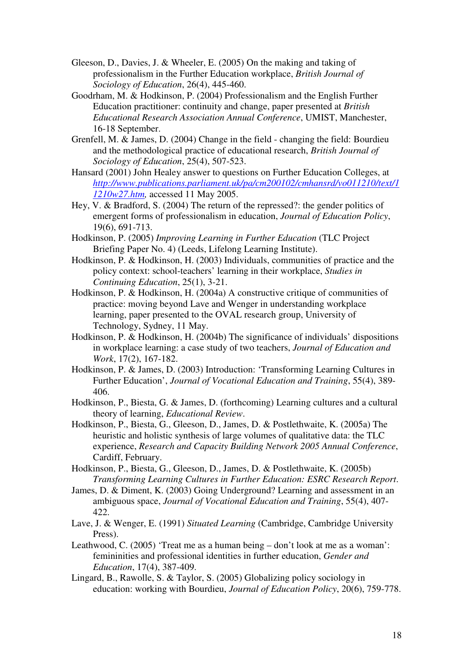- Gleeson, D., Davies, J. & Wheeler, E. (2005) On the making and taking of professionalism in the Further Education workplace, *British Journal of Sociology of Education*, 26(4), 445-460.
- Goodrham, M. & Hodkinson, P. (2004) Professionalism and the English Further Education practitioner: continuity and change, paper presented at *British Educational Research Association Annual Conference*, UMIST, Manchester, 16-18 September.
- Grenfell, M. & James, D. (2004) Change in the field changing the field: Bourdieu and the methodological practice of educational research, *British Journal of Sociology of Education*, 25(4), 507-523.
- Hansard (2001) John Healey answer to questions on Further Education Colleges, at *http://www.publications.parliament.uk/pa/cm200102/cmhansrd/vo011210/text/1 1210w27.htm,* accessed 11 May 2005.
- Hey, V. & Bradford, S. (2004) The return of the repressed?: the gender politics of emergent forms of professionalism in education, *Journal of Education Policy*, 19(6), 691-713.
- Hodkinson, P. (2005) *Improving Learning in Further Education* (TLC Project Briefing Paper No. 4) (Leeds, Lifelong Learning Institute).
- Hodkinson, P. & Hodkinson, H. (2003) Individuals, communities of practice and the policy context: school-teachers' learning in their workplace, *Studies in Continuing Education*, 25(1), 3-21.
- Hodkinson, P. & Hodkinson, H. (2004a) A constructive critique of communities of practice: moving beyond Lave and Wenger in understanding workplace learning, paper presented to the OVAL research group, University of Technology, Sydney, 11 May.
- Hodkinson, P. & Hodkinson, H. (2004b) The significance of individuals' dispositions in workplace learning: a case study of two teachers, *Journal of Education and Work*, 17(2), 167-182.
- Hodkinson, P. & James, D. (2003) Introduction: 'Transforming Learning Cultures in Further Education', *Journal of Vocational Education and Training*, 55(4), 389- 406.
- Hodkinson, P., Biesta, G. & James, D. (forthcoming) Learning cultures and a cultural theory of learning, *Educational Review*.
- Hodkinson, P., Biesta, G., Gleeson, D., James, D. & Postlethwaite, K. (2005a) The heuristic and holistic synthesis of large volumes of qualitative data: the TLC experience, *Research and Capacity Building Network 2005 Annual Conference*, Cardiff, February.
- Hodkinson, P., Biesta, G., Gleeson, D., James, D. & Postlethwaite, K. (2005b) *Transforming Learning Cultures in Further Education: ESRC Research Report*.
- James, D. & Diment, K. (2003) Going Underground? Learning and assessment in an ambiguous space, *Journal of Vocational Education and Training*, 55(4), 407- 422.
- Lave, J. & Wenger, E. (1991) *Situated Learning* (Cambridge, Cambridge University Press).
- Leathwood, C. (2005) 'Treat me as a human being don't look at me as a woman': femininities and professional identities in further education, *Gender and Education*, 17(4), 387-409.
- Lingard, B., Rawolle, S. & Taylor, S. (2005) Globalizing policy sociology in education: working with Bourdieu, *Journal of Education Policy*, 20(6), 759-778.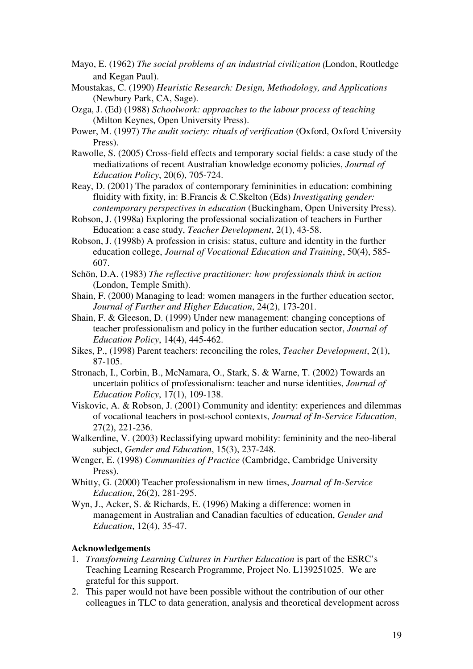- Mayo, E. (1962) *The social problems of an industrial civilization* (London, Routledge and Kegan Paul).
- Moustakas, C. (1990) *Heuristic Research: Design, Methodology, and Applications* (Newbury Park, CA, Sage).
- Ozga, J. (Ed) (1988) *Schoolwork: approaches to the labour process of teaching* (Milton Keynes, Open University Press).
- Power, M. (1997) *The audit society: rituals of verification* (Oxford, Oxford University Press).
- Rawolle, S. (2005) Cross-field effects and temporary social fields: a case study of the mediatizations of recent Australian knowledge economy policies, *Journal of Education Policy*, 20(6), 705-724.
- Reay, D. (2001) The paradox of contemporary femininities in education: combining fluidity with fixity, in: B.Francis & C.Skelton (Eds) *Investigating gender: contemporary perspectives in education* (Buckingham, Open University Press).
- Robson, J. (1998a) Exploring the professional socialization of teachers in Further Education: a case study, *Teacher Development*, 2(1), 43-58.
- Robson, J. (1998b) A profession in crisis: status, culture and identity in the further education college, *Journal of Vocational Education and Training*, 50(4), 585- 607.
- Schön, D.A. (1983) *The reflective practitioner: how professionals think in action* (London, Temple Smith).
- Shain, F. (2000) Managing to lead: women managers in the further education sector, *Journal of Further and Higher Education*, 24(2), 173-201.
- Shain, F. & Gleeson, D. (1999) Under new management: changing conceptions of teacher professionalism and policy in the further education sector, *Journal of Education Policy*, 14(4), 445-462.
- Sikes, P., (1998) Parent teachers: reconciling the roles, *Teacher Development*, 2(1), 87-105.
- Stronach, I., Corbin, B., McNamara, O., Stark, S. & Warne, T. (2002) Towards an uncertain politics of professionalism: teacher and nurse identities, *Journal of Education Policy*, 17(1), 109-138.
- Viskovic, A. & Robson, J. (2001) Community and identity: experiences and dilemmas of vocational teachers in post-school contexts, *Journal of In-Service Education*, 27(2), 221-236.
- Walkerdine, V. (2003) Reclassifying upward mobility: femininity and the neo-liberal subject, *Gender and Education*, 15(3), 237-248.
- Wenger, E. (1998) *Communities of Practice* (Cambridge, Cambridge University Press).
- Whitty, G. (2000) Teacher professionalism in new times, *Journal of In-Service Education*, 26(2), 281-295.
- Wyn, J., Acker, S. & Richards, E. (1996) Making a difference: women in management in Australian and Canadian faculties of education, *Gender and Education*, 12(4), 35-47.

### **Acknowledgements**

- 1. *Transforming Learning Cultures in Further Education* is part of the ESRC's Teaching Learning Research Programme, Project No. L139251025. We are grateful for this support.
- 2. This paper would not have been possible without the contribution of our other colleagues in TLC to data generation, analysis and theoretical development across